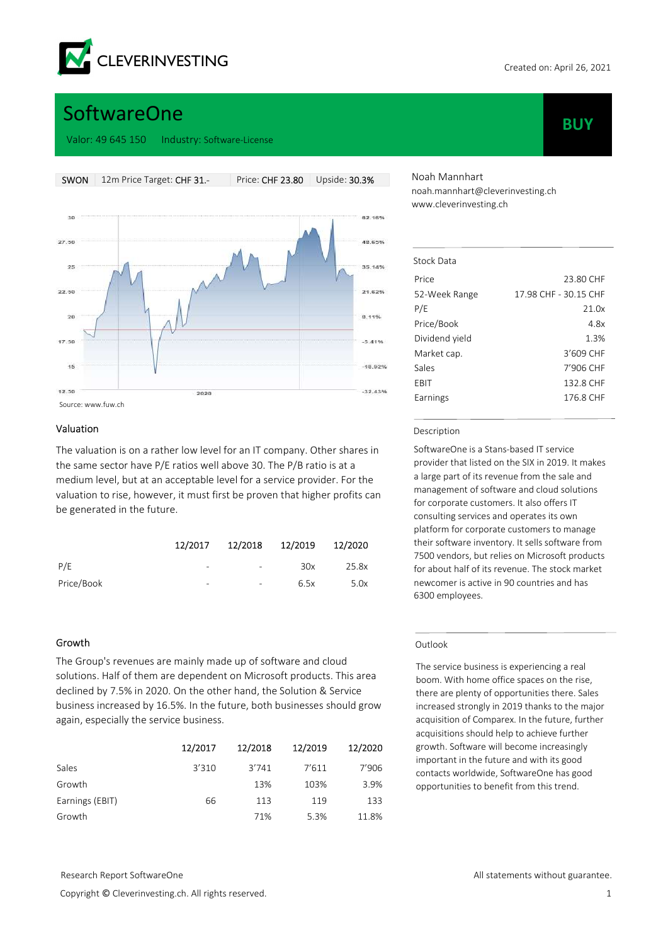

**BUY** 

# **SoftwareOne**

Valor: 49 645 150 Industry: Software-License



#### Valuation

The valuation is on a rather low level for an IT company. Other shares in the same sector have P/E ratios well above 30. The P/B ratio is at a medium level, but at an acceptable level for a service provider. For the valuation to rise, however, it must first be proven that higher profits can be generated in the future.

|            | 12/2017 | 12/2018 12/2019          |      | 12/2020 |
|------------|---------|--------------------------|------|---------|
| P/E        | -       | $\overline{\phantom{a}}$ | 30x  | 25.8x   |
| Price/Book | -       | $\overline{\phantom{a}}$ | 6.5x | 5.0x    |

# Growth

The Group's revenues are mainly made up of software and cloud solutions. Half of them are dependent on Microsoft products. This area declined by 7.5% in 2020. On the other hand, the Solution & Service business increased by 16.5%. In the future, both businesses should grow again, especially the service business.

|                 | 12/2017 | 12/2018 | 12/2019 | 12/2020 |
|-----------------|---------|---------|---------|---------|
| Sales           | 3'310   | 3'741   | 7'611   | 7'906   |
| Growth          |         | 13%     | 103%    | 3.9%    |
| Earnings (EBIT) | 66      | 113     | 119     | 133     |
| Growth          |         | 71%     | 5.3%    | 11.8%   |

Noah Mannhart noah.mannhart@cleverinvesting.ch www.cleverinvesting.ch

| Stock Data     |                       |
|----------------|-----------------------|
| Price          | 23.80 CHF             |
| 52-Week Range  | 17.98 CHF - 30.15 CHF |
| P/E            | 21.0x                 |
| Price/Book     | 4.8x                  |
| Dividend yield | 1.3%                  |
| Market cap.    | 3'609 CHF             |
| Sales          | 7'906 CHF             |
| FRIT           | 132.8 CHF             |
| Earnings       | 176.8 CHF             |

#### Description

SoftwareOne is a Stans-based IT service provider that listed on the SIX in 2019. It makes a large part of its revenue from the sale and management of software and cloud solutions for corporate customers. It also offers IT consulting services and operates its own platform for corporate customers to manage their software inventory. It sells software from 7500 vendors, but relies on Microsoft products for about half of its revenue. The stock market newcomer is active in 90 countries and has 6300 employees.

#### Outlook

The service business is experiencing a real boom. With home office spaces on the rise, there are plenty of opportunities there. Sales increased strongly in 2019 thanks to the major acquisition of Comparex. In the future, further acquisitions should help to achieve further growth. Software will become increasingly important in the future and with its good contacts worldwide, SoftwareOne has good opportunities to benefit from this trend.

Copyright © Cleverinvesting.ch. All rights reserved. 1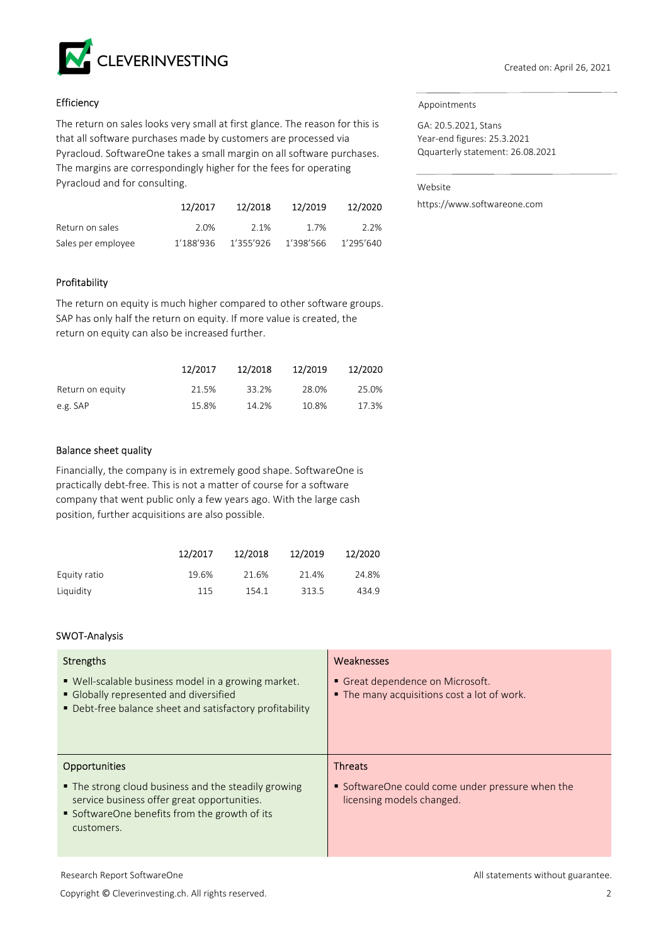

# **Efficiency**

The return on sales looks very small at first glance. The reason for this is that all software purchases made by customers are processed via Pyracloud. SoftwareOne takes a small margin on all software purchases. The margins are correspondingly higher for the fees for operating Pyracloud and for consulting.

|                    | 12/2017   | 12/2018             | 12/2019 | 12/2020   |
|--------------------|-----------|---------------------|---------|-----------|
| Return on sales    | 2.0%      | 2.1%                | 1.7%    | 2.2%      |
| Sales per employee | 1′188′936 | 1'355'926 1'398'566 |         | 1'295'640 |

# Profitability

The return on equity is much higher compared to other software groups. SAP has only half the return on equity. If more value is created, the return on equity can also be increased further.

|                  | 12/2017 | 12/2018 | 12/2019 | 12/2020 |
|------------------|---------|---------|---------|---------|
| Return on equity | 21.5%   | 33.2%   | 28.0%   | 25.0%   |
| e.g. SAP         | 15.8%   | 14.2%   | 10.8%   | 17.3%   |

# Balance sheet quality

Financially, the company is in extremely good shape. SoftwareOne is practically debt-free. This is not a matter of course for a software company that went public only a few years ago. With the large cash position, further acquisitions are also possible.

|              | 12/2017 | 12/2018 | 12/2019 | 12/2020 |
|--------------|---------|---------|---------|---------|
| Equity ratio | 19.6%   | 21.6%   | 21.4%   | 24.8%   |
| Liquidity    | 115     | 154.1   | 313.5   | 434.9   |

# SWOT-Analysis

| Strengths                                                                                                                                                          | Weaknesses                                                                      |
|--------------------------------------------------------------------------------------------------------------------------------------------------------------------|---------------------------------------------------------------------------------|
| ■ Well-scalable business model in a growing market.<br>Globally represented and diversified<br>• Debt-free balance sheet and satisfactory profitability            | • Great dependence on Microsoft.<br>• The many acquisitions cost a lot of work. |
| <b>Opportunities</b>                                                                                                                                               | <b>Threats</b>                                                                  |
| • The strong cloud business and the steadily growing<br>service business offer great opportunities.<br>• SoftwareOne benefits from the growth of its<br>customers. | • SoftwareOne could come under pressure when the<br>licensing models changed.   |

#### Appointments

GA: 20.5.2021, Stans Year-end figures: 25.3.2021 Qquarterly statement: 26.08.2021

Website

https://www.softwareone.com

Copyright © Cleverinvesting.ch. All rights reserved. 2